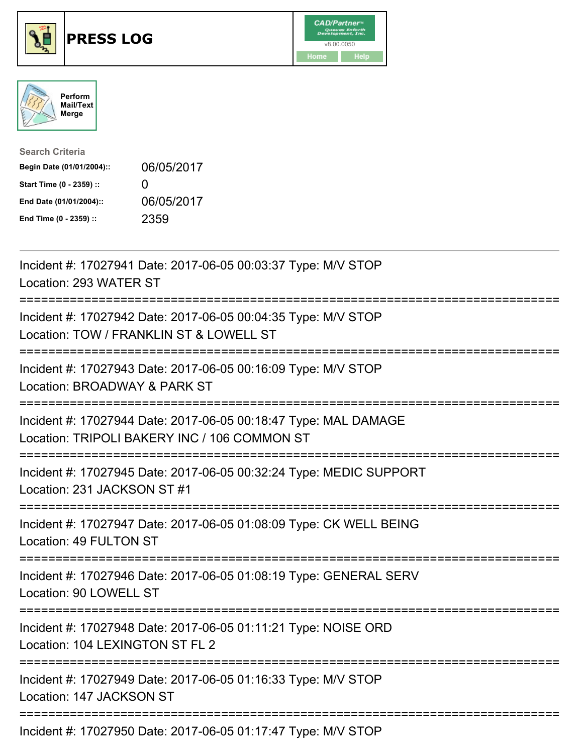





| <b>Search Criteria</b>    |                   |
|---------------------------|-------------------|
| Begin Date (01/01/2004):: | 06/05/2017        |
| Start Time (0 - 2359) ::  | $\mathbf{\Omega}$ |
| End Date (01/01/2004)::   | 06/05/2017        |
| End Time (0 - 2359) ::    | 2359              |

| Incident #: 17027941 Date: 2017-06-05 00:03:37 Type: M/V STOP<br>Location: 293 WATER ST                         |
|-----------------------------------------------------------------------------------------------------------------|
| Incident #: 17027942 Date: 2017-06-05 00:04:35 Type: M/V STOP<br>Location: TOW / FRANKLIN ST & LOWELL ST        |
| Incident #: 17027943 Date: 2017-06-05 00:16:09 Type: M/V STOP<br>Location: BROADWAY & PARK ST                   |
| Incident #: 17027944 Date: 2017-06-05 00:18:47 Type: MAL DAMAGE<br>Location: TRIPOLI BAKERY INC / 106 COMMON ST |
| Incident #: 17027945 Date: 2017-06-05 00:32:24 Type: MEDIC SUPPORT<br>Location: 231 JACKSON ST #1               |
| Incident #: 17027947 Date: 2017-06-05 01:08:09 Type: CK WELL BEING<br>Location: 49 FULTON ST                    |
| Incident #: 17027946 Date: 2017-06-05 01:08:19 Type: GENERAL SERV<br>Location: 90 LOWELL ST                     |
| Incident #: 17027948 Date: 2017-06-05 01:11:21 Type: NOISE ORD<br>Location: 104 LEXINGTON ST FL 2               |
| Incident #: 17027949 Date: 2017-06-05 01:16:33 Type: M/V STOP<br>Location: 147 JACKSON ST                       |
| Incident #: 17027950 Date: 2017-06-05 01:17:47 Type: M/V STOP                                                   |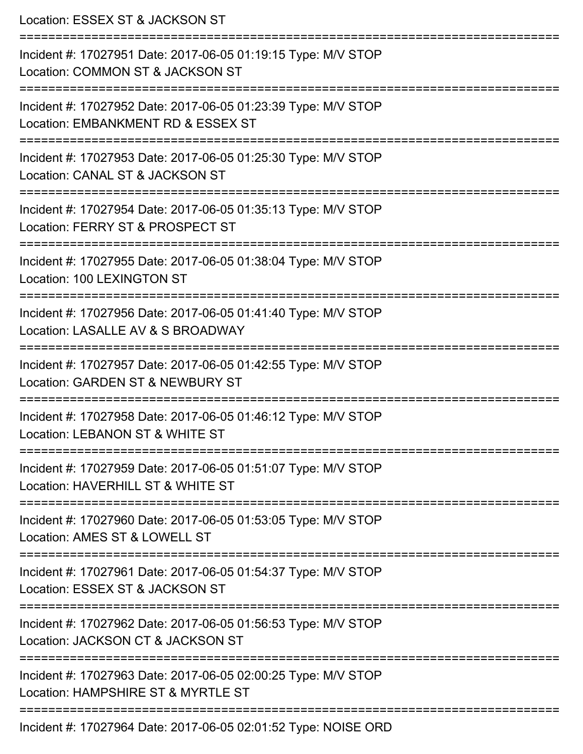| Location: ESSEX ST & JACKSON ST                                                                                                  |
|----------------------------------------------------------------------------------------------------------------------------------|
| Incident #: 17027951 Date: 2017-06-05 01:19:15 Type: M/V STOP<br>Location: COMMON ST & JACKSON ST<br>--------------------------- |
| Incident #: 17027952 Date: 2017-06-05 01:23:39 Type: M/V STOP<br>Location: EMBANKMENT RD & ESSEX ST                              |
| Incident #: 17027953 Date: 2017-06-05 01:25:30 Type: M/V STOP<br>Location: CANAL ST & JACKSON ST                                 |
| Incident #: 17027954 Date: 2017-06-05 01:35:13 Type: M/V STOP<br>Location: FERRY ST & PROSPECT ST                                |
| Incident #: 17027955 Date: 2017-06-05 01:38:04 Type: M/V STOP<br>Location: 100 LEXINGTON ST                                      |
| Incident #: 17027956 Date: 2017-06-05 01:41:40 Type: M/V STOP<br>Location: LASALLE AV & S BROADWAY                               |
| Incident #: 17027957 Date: 2017-06-05 01:42:55 Type: M/V STOP<br>Location: GARDEN ST & NEWBURY ST                                |
| Incident #: 17027958 Date: 2017-06-05 01:46:12 Type: M/V STOP<br>Location: LEBANON ST & WHITE ST                                 |
| Incident #: 17027959 Date: 2017-06-05 01:51:07 Type: M/V STOP<br>Location: HAVERHILL ST & WHITE ST                               |
| Incident #: 17027960 Date: 2017-06-05 01:53:05 Type: M/V STOP<br>Location: AMES ST & LOWELL ST                                   |
| Incident #: 17027961 Date: 2017-06-05 01:54:37 Type: M/V STOP<br>Location: ESSEX ST & JACKSON ST                                 |
| Incident #: 17027962 Date: 2017-06-05 01:56:53 Type: M/V STOP<br>Location: JACKSON CT & JACKSON ST                               |
| Incident #: 17027963 Date: 2017-06-05 02:00:25 Type: M/V STOP<br>Location: HAMPSHIRE ST & MYRTLE ST                              |
| Incident #: 17027964 Date: 2017-06-05 02:01:52 Type: NOISE ORD                                                                   |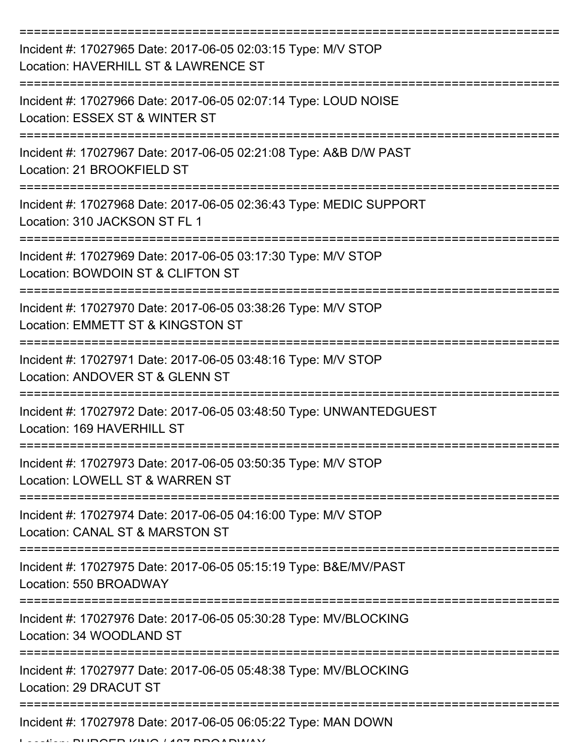| Incident #: 17027965 Date: 2017-06-05 02:03:15 Type: M/V STOP<br>Location: HAVERHILL ST & LAWRENCE ST |
|-------------------------------------------------------------------------------------------------------|
| Incident #: 17027966 Date: 2017-06-05 02:07:14 Type: LOUD NOISE<br>Location: ESSEX ST & WINTER ST     |
| Incident #: 17027967 Date: 2017-06-05 02:21:08 Type: A&B D/W PAST<br>Location: 21 BROOKFIELD ST       |
| Incident #: 17027968 Date: 2017-06-05 02:36:43 Type: MEDIC SUPPORT<br>Location: 310 JACKSON ST FL 1   |
| Incident #: 17027969 Date: 2017-06-05 03:17:30 Type: M/V STOP<br>Location: BOWDOIN ST & CLIFTON ST    |
| Incident #: 17027970 Date: 2017-06-05 03:38:26 Type: M/V STOP<br>Location: EMMETT ST & KINGSTON ST    |
| Incident #: 17027971 Date: 2017-06-05 03:48:16 Type: M/V STOP<br>Location: ANDOVER ST & GLENN ST      |
| Incident #: 17027972 Date: 2017-06-05 03:48:50 Type: UNWANTEDGUEST<br>Location: 169 HAVERHILL ST      |
| Incident #: 17027973 Date: 2017-06-05 03:50:35 Type: M/V STOP<br>Location: LOWELL ST & WARREN ST      |
| Incident #: 17027974 Date: 2017-06-05 04:16:00 Type: M/V STOP<br>Location: CANAL ST & MARSTON ST      |
| Incident #: 17027975 Date: 2017-06-05 05:15:19 Type: B&E/MV/PAST<br>Location: 550 BROADWAY            |
| Incident #: 17027976 Date: 2017-06-05 05:30:28 Type: MV/BLOCKING<br>Location: 34 WOODLAND ST          |
| Incident #: 17027977 Date: 2017-06-05 05:48:38 Type: MV/BLOCKING<br>Location: 29 DRACUT ST            |
| Incident #: 17027978 Date: 2017-06-05 06:05:22 Type: MAN DOWN                                         |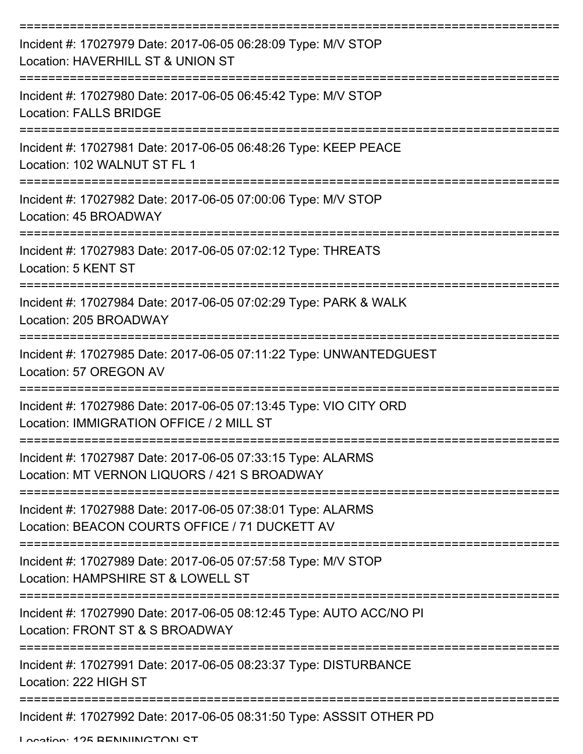| Incident #: 17027979 Date: 2017-06-05 06:28:09 Type: M/V STOP<br>Location: HAVERHILL ST & UNION ST            |
|---------------------------------------------------------------------------------------------------------------|
| Incident #: 17027980 Date: 2017-06-05 06:45:42 Type: M/V STOP<br><b>Location: FALLS BRIDGE</b>                |
| Incident #: 17027981 Date: 2017-06-05 06:48:26 Type: KEEP PEACE<br>Location: 102 WALNUT ST FL 1               |
| Incident #: 17027982 Date: 2017-06-05 07:00:06 Type: M/V STOP<br>Location: 45 BROADWAY                        |
| Incident #: 17027983 Date: 2017-06-05 07:02:12 Type: THREATS<br>Location: 5 KENT ST                           |
| Incident #: 17027984 Date: 2017-06-05 07:02:29 Type: PARK & WALK<br>Location: 205 BROADWAY                    |
| Incident #: 17027985 Date: 2017-06-05 07:11:22 Type: UNWANTEDGUEST<br>Location: 57 OREGON AV                  |
| Incident #: 17027986 Date: 2017-06-05 07:13:45 Type: VIO CITY ORD<br>Location: IMMIGRATION OFFICE / 2 MILL ST |
| Incident #: 17027987 Date: 2017-06-05 07:33:15 Type: ALARMS<br>Location: MT VERNON LIQUORS / 421 S BROADWAY   |
| Incident #: 17027988 Date: 2017-06-05 07:38:01 Type: ALARMS<br>Location: BEACON COURTS OFFICE / 71 DUCKETT AV |
| Incident #: 17027989 Date: 2017-06-05 07:57:58 Type: M/V STOP<br>Location: HAMPSHIRE ST & LOWELL ST           |
| Incident #: 17027990 Date: 2017-06-05 08:12:45 Type: AUTO ACC/NO PI<br>Location: FRONT ST & S BROADWAY        |
| Incident #: 17027991 Date: 2017-06-05 08:23:37 Type: DISTURBANCE<br>Location: 222 HIGH ST                     |
| Incident #: 17027992 Date: 2017-06-05 08:31:50 Type: ASSSIT OTHER PD                                          |

Location: 125 BENNINGTON ST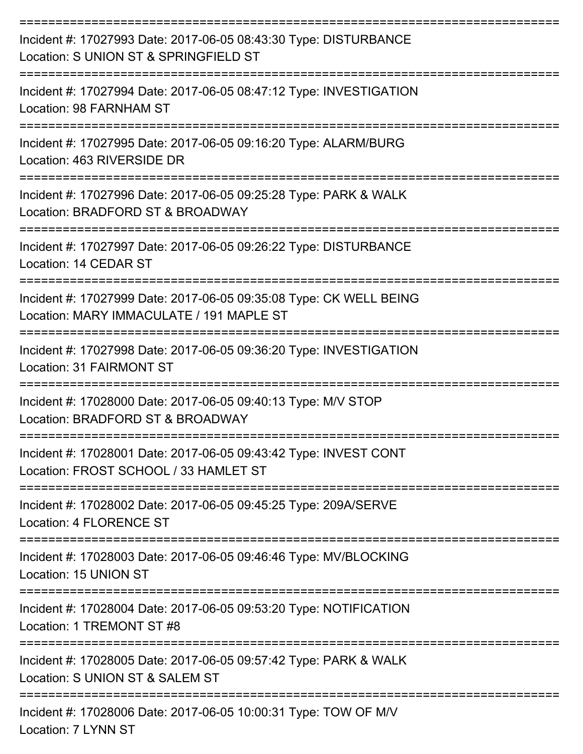| Incident #: 17027993 Date: 2017-06-05 08:43:30 Type: DISTURBANCE<br>Location: S UNION ST & SPRINGFIELD ST      |
|----------------------------------------------------------------------------------------------------------------|
| Incident #: 17027994 Date: 2017-06-05 08:47:12 Type: INVESTIGATION<br>Location: 98 FARNHAM ST                  |
| Incident #: 17027995 Date: 2017-06-05 09:16:20 Type: ALARM/BURG<br>Location: 463 RIVERSIDE DR                  |
| Incident #: 17027996 Date: 2017-06-05 09:25:28 Type: PARK & WALK<br>Location: BRADFORD ST & BROADWAY           |
| Incident #: 17027997 Date: 2017-06-05 09:26:22 Type: DISTURBANCE<br>Location: 14 CEDAR ST                      |
| Incident #: 17027999 Date: 2017-06-05 09:35:08 Type: CK WELL BEING<br>Location: MARY IMMACULATE / 191 MAPLE ST |
| Incident #: 17027998 Date: 2017-06-05 09:36:20 Type: INVESTIGATION<br><b>Location: 31 FAIRMONT ST</b>          |
| Incident #: 17028000 Date: 2017-06-05 09:40:13 Type: M/V STOP<br>Location: BRADFORD ST & BROADWAY              |
| Incident #: 17028001 Date: 2017-06-05 09:43:42 Type: INVEST CONT<br>Location: FROST SCHOOL / 33 HAMLET ST      |
| Incident #: 17028002 Date: 2017-06-05 09:45:25 Type: 209A/SERVE<br><b>Location: 4 FLORENCE ST</b>              |
| Incident #: 17028003 Date: 2017-06-05 09:46:46 Type: MV/BLOCKING<br>Location: 15 UNION ST                      |
| Incident #: 17028004 Date: 2017-06-05 09:53:20 Type: NOTIFICATION<br>Location: 1 TREMONT ST #8                 |
| Incident #: 17028005 Date: 2017-06-05 09:57:42 Type: PARK & WALK<br>Location: S UNION ST & SALEM ST            |
| Incident #: 17028006 Date: 2017-06-05 10:00:31 Type: TOW OF M/V                                                |

Location: 7 LYNN ST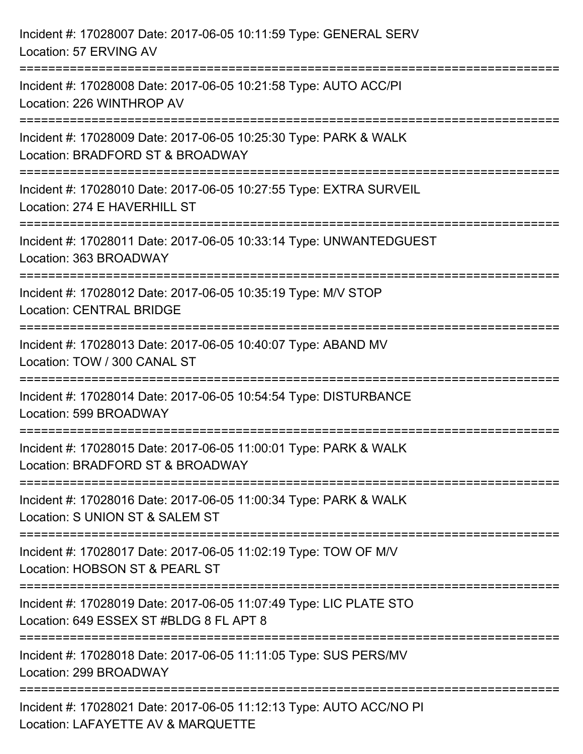| Incident #: 17028007 Date: 2017-06-05 10:11:59 Type: GENERAL SERV<br>Location: 57 ERVING AV                                                                                |
|----------------------------------------------------------------------------------------------------------------------------------------------------------------------------|
| ===================================<br>Incident #: 17028008 Date: 2017-06-05 10:21:58 Type: AUTO ACC/PI<br>Location: 226 WINTHROP AV                                       |
| Incident #: 17028009 Date: 2017-06-05 10:25:30 Type: PARK & WALK<br>Location: BRADFORD ST & BROADWAY                                                                       |
| :=====================<br>Incident #: 17028010 Date: 2017-06-05 10:27:55 Type: EXTRA SURVEIL<br>Location: 274 E HAVERHILL ST<br>:======================<br>--------------- |
| Incident #: 17028011 Date: 2017-06-05 10:33:14 Type: UNWANTEDGUEST<br>Location: 363 BROADWAY                                                                               |
| Incident #: 17028012 Date: 2017-06-05 10:35:19 Type: M/V STOP<br><b>Location: CENTRAL BRIDGE</b>                                                                           |
| :====================================<br>Incident #: 17028013 Date: 2017-06-05 10:40:07 Type: ABAND MV<br>Location: TOW / 300 CANAL ST                                     |
| Incident #: 17028014 Date: 2017-06-05 10:54:54 Type: DISTURBANCE<br>Location: 599 BROADWAY                                                                                 |
| Incident #: 17028015 Date: 2017-06-05 11:00:01 Type: PARK & WALK<br>Location: BRADFORD ST & BROADWAY                                                                       |
| Incident #: 17028016 Date: 2017-06-05 11:00:34 Type: PARK & WALK<br>Location: S UNION ST & SALEM ST                                                                        |
| Incident #: 17028017 Date: 2017-06-05 11:02:19 Type: TOW OF M/V<br>Location: HOBSON ST & PEARL ST                                                                          |
| Incident #: 17028019 Date: 2017-06-05 11:07:49 Type: LIC PLATE STO<br>Location: 649 ESSEX ST #BLDG 8 FL APT 8                                                              |
| Incident #: 17028018 Date: 2017-06-05 11:11:05 Type: SUS PERS/MV<br>Location: 299 BROADWAY                                                                                 |
| Incident #: 17028021 Date: 2017-06-05 11:12:13 Type: AUTO ACC/NO PI<br>Location: LAFAYETTE AV & MARQUETTE                                                                  |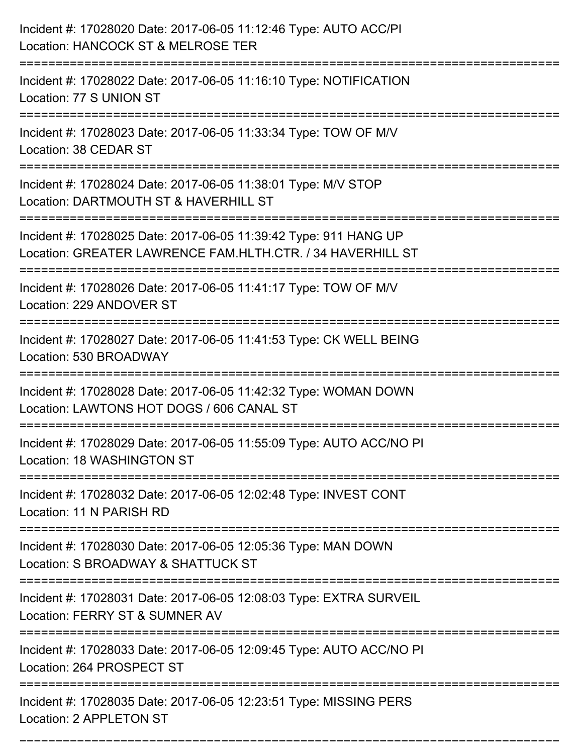| Incident #: 17028020 Date: 2017-06-05 11:12:46 Type: AUTO ACC/PI<br>Location: HANCOCK ST & MELROSE TER<br>:====================                                 |
|-----------------------------------------------------------------------------------------------------------------------------------------------------------------|
| Incident #: 17028022 Date: 2017-06-05 11:16:10 Type: NOTIFICATION<br>Location: 77 S UNION ST                                                                    |
| Incident #: 17028023 Date: 2017-06-05 11:33:34 Type: TOW OF M/V<br>Location: 38 CEDAR ST                                                                        |
| Incident #: 17028024 Date: 2017-06-05 11:38:01 Type: M/V STOP<br>Location: DARTMOUTH ST & HAVERHILL ST                                                          |
| Incident #: 17028025 Date: 2017-06-05 11:39:42 Type: 911 HANG UP<br>Location: GREATER LAWRENCE FAM.HLTH.CTR. / 34 HAVERHILL ST<br>----------------------------- |
| Incident #: 17028026 Date: 2017-06-05 11:41:17 Type: TOW OF M/V<br>Location: 229 ANDOVER ST                                                                     |
| Incident #: 17028027 Date: 2017-06-05 11:41:53 Type: CK WELL BEING<br>Location: 530 BROADWAY                                                                    |
| Incident #: 17028028 Date: 2017-06-05 11:42:32 Type: WOMAN DOWN<br>Location: LAWTONS HOT DOGS / 606 CANAL ST                                                    |
| Incident #: 17028029 Date: 2017-06-05 11:55:09 Type: AUTO ACC/NO PI<br>Location: 18 WASHINGTON ST                                                               |
| Incident #: 17028032 Date: 2017-06-05 12:02:48 Type: INVEST CONT<br>Location: 11 N PARISH RD                                                                    |
| ==============================<br>Incident #: 17028030 Date: 2017-06-05 12:05:36 Type: MAN DOWN<br>Location: S BROADWAY & SHATTUCK ST                           |
| Incident #: 17028031 Date: 2017-06-05 12:08:03 Type: EXTRA SURVEIL<br>Location: FERRY ST & SUMNER AV                                                            |
| Incident #: 17028033 Date: 2017-06-05 12:09:45 Type: AUTO ACC/NO PI<br>Location: 264 PROSPECT ST                                                                |
| Incident #: 17028035 Date: 2017-06-05 12:23:51 Type: MISSING PERS<br>Location: 2 APPLETON ST                                                                    |

===========================================================================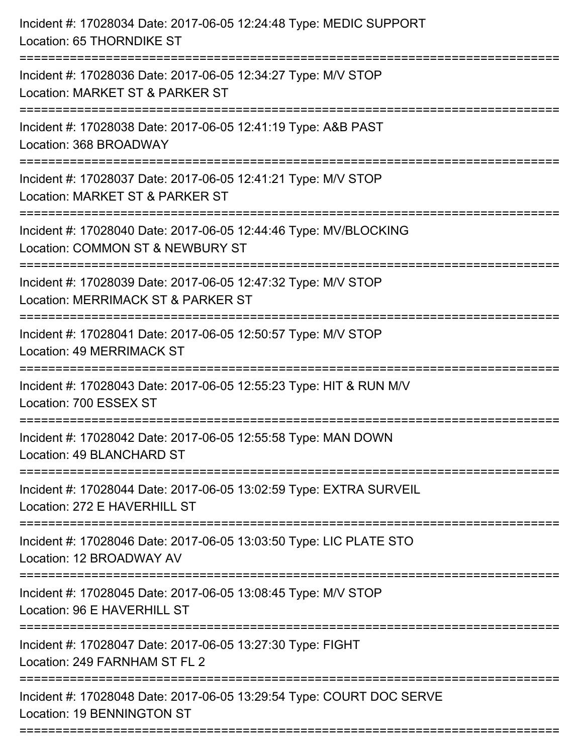| Incident #: 17028034 Date: 2017-06-05 12:24:48 Type: MEDIC SUPPORT<br>Location: 65 THORNDIKE ST                                         |
|-----------------------------------------------------------------------------------------------------------------------------------------|
| Incident #: 17028036 Date: 2017-06-05 12:34:27 Type: M/V STOP<br>Location: MARKET ST & PARKER ST                                        |
| Incident #: 17028038 Date: 2017-06-05 12:41:19 Type: A&B PAST<br>Location: 368 BROADWAY                                                 |
| Incident #: 17028037 Date: 2017-06-05 12:41:21 Type: M/V STOP<br>Location: MARKET ST & PARKER ST                                        |
| Incident #: 17028040 Date: 2017-06-05 12:44:46 Type: MV/BLOCKING<br>Location: COMMON ST & NEWBURY ST<br>=============================== |
| Incident #: 17028039 Date: 2017-06-05 12:47:32 Type: M/V STOP<br>Location: MERRIMACK ST & PARKER ST<br>:=====================           |
| Incident #: 17028041 Date: 2017-06-05 12:50:57 Type: M/V STOP<br>Location: 49 MERRIMACK ST                                              |
| Incident #: 17028043 Date: 2017-06-05 12:55:23 Type: HIT & RUN M/V<br>Location: 700 ESSEX ST                                            |
| Incident #: 17028042 Date: 2017-06-05 12:55:58 Type: MAN DOWN<br>Location: 49 BLANCHARD ST                                              |
| Incident #: 17028044 Date: 2017-06-05 13:02:59 Type: EXTRA SURVEIL<br>Location: 272 E HAVERHILL ST                                      |
| Incident #: 17028046 Date: 2017-06-05 13:03:50 Type: LIC PLATE STO<br>Location: 12 BROADWAY AV                                          |
| Incident #: 17028045 Date: 2017-06-05 13:08:45 Type: M/V STOP<br>Location: 96 E HAVERHILL ST                                            |
| Incident #: 17028047 Date: 2017-06-05 13:27:30 Type: FIGHT<br>Location: 249 FARNHAM ST FL 2                                             |
| Incident #: 17028048 Date: 2017-06-05 13:29:54 Type: COURT DOC SERVE<br>Location: 19 BENNINGTON ST                                      |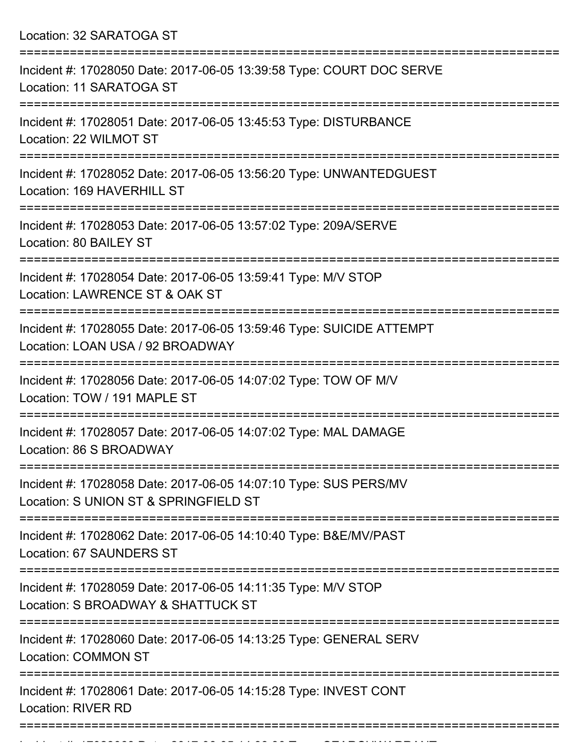Location: 32 SARATOGA ST =========================================================================== Incident #: 17028050 Date: 2017-06-05 13:39:58 Type: COURT DOC SERVE

Location: 11 SARATOGA ST

===========================================================================

Incident #: 17028051 Date: 2017-06-05 13:45:53 Type: DISTURBANCE Location: 22 WILMOT ST

===========================================================================

Incident #: 17028052 Date: 2017-06-05 13:56:20 Type: UNWANTEDGUEST Location: 169 HAVERHILL ST

===========================================================================

Incident #: 17028053 Date: 2017-06-05 13:57:02 Type: 209A/SERVE Location: 80 BAILEY ST

===========================================================================

Incident #: 17028054 Date: 2017-06-05 13:59:41 Type: M/V STOP Location: LAWRENCE ST & OAK ST

===========================================================================

Incident #: 17028055 Date: 2017-06-05 13:59:46 Type: SUICIDE ATTEMPT Location: LOAN USA / 92 BROADWAY

===========================================================================

Incident #: 17028056 Date: 2017-06-05 14:07:02 Type: TOW OF M/V Location: TOW / 191 MAPLE ST

===========================================================================

Incident #: 17028057 Date: 2017-06-05 14:07:02 Type: MAL DAMAGE Location: 86 S BROADWAY

===========================================================================

Incident #: 17028058 Date: 2017-06-05 14:07:10 Type: SUS PERS/MV Location: S UNION ST & SPRINGFIELD ST

===========================================================================

Incident #: 17028062 Date: 2017-06-05 14:10:40 Type: B&E/MV/PAST Location: 67 SAUNDERS ST

===========================================================================

Incident #: 17028059 Date: 2017-06-05 14:11:35 Type: M/V STOP

Location: S BROADWAY & SHATTUCK ST

===========================================================================

Incident #: 17028060 Date: 2017-06-05 14:13:25 Type: GENERAL SERV

Location: COMMON ST

===========================================================================

===========================================================================

Incident #: 17028061 Date: 2017-06-05 14:15:28 Type: INVEST CONT Location: RIVER RD

Incident #: 17028063 Date: 2017 06 05 14:38:30 Type: SEARCHWARRANT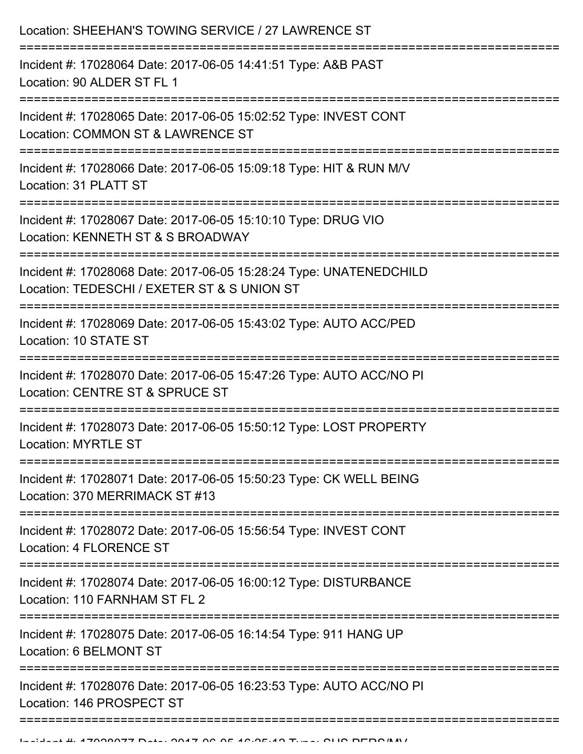| Location: SHEEHAN'S TOWING SERVICE / 27 LAWRENCE ST                                                               |
|-------------------------------------------------------------------------------------------------------------------|
| Incident #: 17028064 Date: 2017-06-05 14:41:51 Type: A&B PAST<br>Location: 90 ALDER ST FL 1                       |
| Incident #: 17028065 Date: 2017-06-05 15:02:52 Type: INVEST CONT<br>Location: COMMON ST & LAWRENCE ST             |
| Incident #: 17028066 Date: 2017-06-05 15:09:18 Type: HIT & RUN M/V<br>Location: 31 PLATT ST                       |
| Incident #: 17028067 Date: 2017-06-05 15:10:10 Type: DRUG VIO<br>Location: KENNETH ST & S BROADWAY                |
| Incident #: 17028068 Date: 2017-06-05 15:28:24 Type: UNATENEDCHILD<br>Location: TEDESCHI / EXETER ST & S UNION ST |
| Incident #: 17028069 Date: 2017-06-05 15:43:02 Type: AUTO ACC/PED<br>Location: 10 STATE ST                        |
| Incident #: 17028070 Date: 2017-06-05 15:47:26 Type: AUTO ACC/NO PI<br>Location: CENTRE ST & SPRUCE ST            |
| Incident #: 17028073 Date: 2017-06-05 15:50:12 Type: LOST PROPERTY<br>Location: MYRTLE ST                         |
| Incident #: 17028071 Date: 2017-06-05 15:50:23 Type: CK WELL BEING<br>Location: 370 MERRIMACK ST #13              |
| Incident #: 17028072 Date: 2017-06-05 15:56:54 Type: INVEST CONT<br><b>Location: 4 FLORENCE ST</b>                |
| Incident #: 17028074 Date: 2017-06-05 16:00:12 Type: DISTURBANCE<br>Location: 110 FARNHAM ST FL 2                 |
| Incident #: 17028075 Date: 2017-06-05 16:14:54 Type: 911 HANG UP<br>Location: 6 BELMONT ST                        |
| Incident #: 17028076 Date: 2017-06-05 16:23:53 Type: AUTO ACC/NO PI<br>Location: 146 PROSPECT ST                  |
|                                                                                                                   |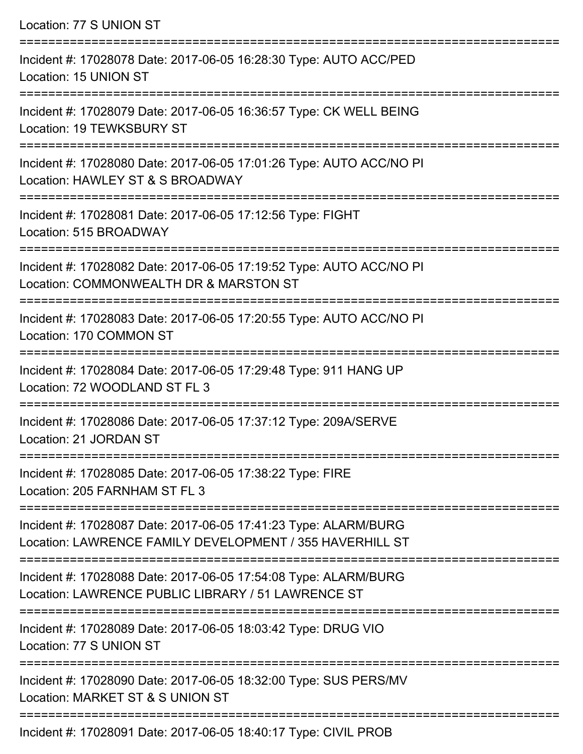Location: 77 S UNION ST =========================================================================== Incident #: 17028078 Date: 2017-06-05 16:28:30 Type: AUTO ACC/PED Location: 15 UNION ST =========================================================================== Incident #: 17028079 Date: 2017-06-05 16:36:57 Type: CK WELL BEING Location: 19 TEWKSBURY ST =========================================================================== Incident #: 17028080 Date: 2017-06-05 17:01:26 Type: AUTO ACC/NO PI Location: HAWLEY ST & S BROADWAY =========================================================================== Incident #: 17028081 Date: 2017-06-05 17:12:56 Type: FIGHT Location: 515 BROADWAY =========================================================================== Incident #: 17028082 Date: 2017-06-05 17:19:52 Type: AUTO ACC/NO PI Location: COMMONWEALTH DR & MARSTON ST =========================================================================== Incident #: 17028083 Date: 2017-06-05 17:20:55 Type: AUTO ACC/NO PI Location: 170 COMMON ST =========================================================================== Incident #: 17028084 Date: 2017-06-05 17:29:48 Type: 911 HANG UP Location: 72 WOODLAND ST FL 3 =========================================================================== Incident #: 17028086 Date: 2017-06-05 17:37:12 Type: 209A/SERVE Location: 21 JORDAN ST =========================================================================== Incident #: 17028085 Date: 2017-06-05 17:38:22 Type: FIRE Location: 205 FARNHAM ST FL 3 =========================================================================== Incident #: 17028087 Date: 2017-06-05 17:41:23 Type: ALARM/BURG Location: LAWRENCE FAMILY DEVELOPMENT / 355 HAVERHILL ST =========================================================================== Incident #: 17028088 Date: 2017-06-05 17:54:08 Type: ALARM/BURG Location: LAWRENCE PUBLIC LIBRARY / 51 LAWRENCE ST =========================================================================== Incident #: 17028089 Date: 2017-06-05 18:03:42 Type: DRUG VIO Location: 77 S UNION ST =========================================================================== Incident #: 17028090 Date: 2017-06-05 18:32:00 Type: SUS PERS/MV Location: MARKET ST & S UNION ST ===========================================================================

Incident #: 17028091 Date: 2017-06-05 18:40:17 Type: CIVIL PROB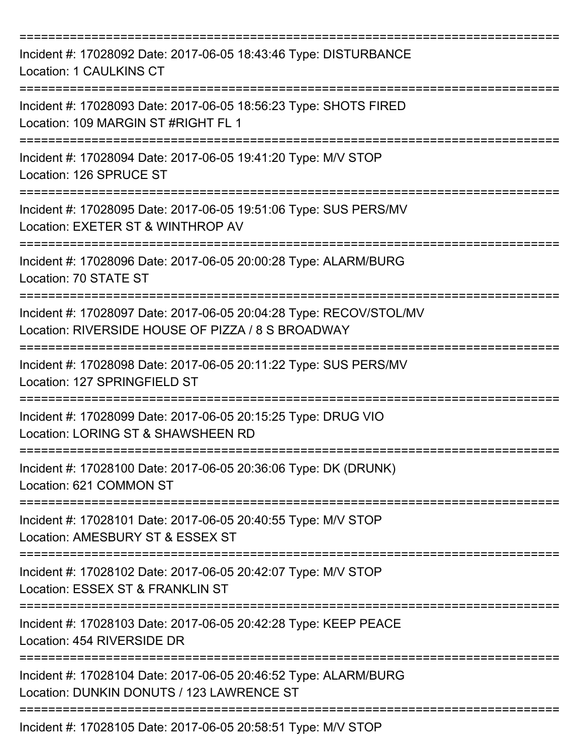| Incident #: 17028092 Date: 2017-06-05 18:43:46 Type: DISTURBANCE<br><b>Location: 1 CAULKINS CT</b>                      |
|-------------------------------------------------------------------------------------------------------------------------|
| Incident #: 17028093 Date: 2017-06-05 18:56:23 Type: SHOTS FIRED<br>Location: 109 MARGIN ST #RIGHT FL 1                 |
| Incident #: 17028094 Date: 2017-06-05 19:41:20 Type: M/V STOP<br>Location: 126 SPRUCE ST                                |
| Incident #: 17028095 Date: 2017-06-05 19:51:06 Type: SUS PERS/MV<br>Location: EXETER ST & WINTHROP AV                   |
| Incident #: 17028096 Date: 2017-06-05 20:00:28 Type: ALARM/BURG<br>Location: 70 STATE ST                                |
| Incident #: 17028097 Date: 2017-06-05 20:04:28 Type: RECOV/STOL/MV<br>Location: RIVERSIDE HOUSE OF PIZZA / 8 S BROADWAY |
| Incident #: 17028098 Date: 2017-06-05 20:11:22 Type: SUS PERS/MV<br>Location: 127 SPRINGFIELD ST                        |
| Incident #: 17028099 Date: 2017-06-05 20:15:25 Type: DRUG VIO<br>Location: LORING ST & SHAWSHEEN RD<br>---------------- |
| Incident #: 17028100 Date: 2017-06-05 20:36:06 Type: DK (DRUNK)<br>Location: 621 COMMON ST                              |
| Incident #: 17028101 Date: 2017-06-05 20:40:55 Type: M/V STOP<br>Location: AMESBURY ST & ESSEX ST                       |
| Incident #: 17028102 Date: 2017-06-05 20:42:07 Type: M/V STOP<br>Location: ESSEX ST & FRANKLIN ST                       |
| Incident #: 17028103 Date: 2017-06-05 20:42:28 Type: KEEP PEACE<br>Location: 454 RIVERSIDE DR                           |
| Incident #: 17028104 Date: 2017-06-05 20:46:52 Type: ALARM/BURG<br>Location: DUNKIN DONUTS / 123 LAWRENCE ST            |
| Incident #: 17028105 Date: 2017-06-05 20:58:51 Type: M/V STOP                                                           |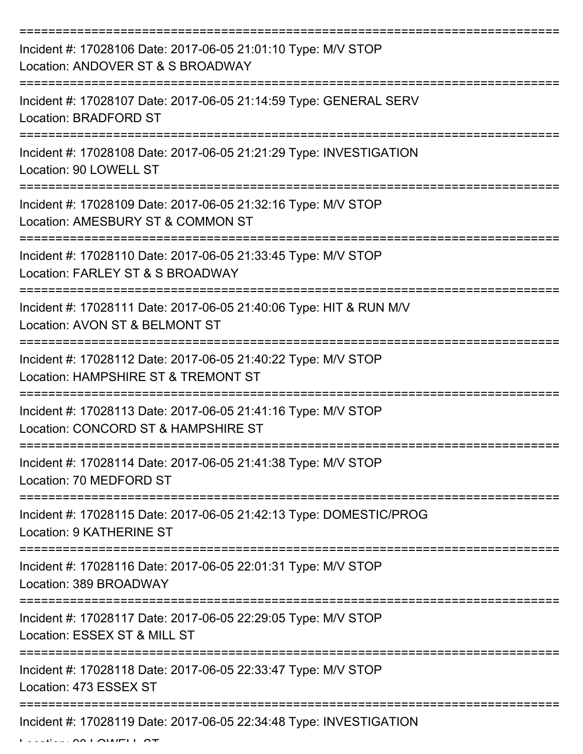| Incident #: 17028106 Date: 2017-06-05 21:01:10 Type: M/V STOP<br>Location: ANDOVER ST & S BROADWAY    |
|-------------------------------------------------------------------------------------------------------|
| Incident #: 17028107 Date: 2017-06-05 21:14:59 Type: GENERAL SERV<br>Location: BRADFORD ST            |
| Incident #: 17028108 Date: 2017-06-05 21:21:29 Type: INVESTIGATION<br>Location: 90 LOWELL ST          |
| Incident #: 17028109 Date: 2017-06-05 21:32:16 Type: M/V STOP<br>Location: AMESBURY ST & COMMON ST    |
| Incident #: 17028110 Date: 2017-06-05 21:33:45 Type: M/V STOP<br>Location: FARLEY ST & S BROADWAY     |
| Incident #: 17028111 Date: 2017-06-05 21:40:06 Type: HIT & RUN M/V<br>Location: AVON ST & BELMONT ST  |
| Incident #: 17028112 Date: 2017-06-05 21:40:22 Type: M/V STOP<br>Location: HAMPSHIRE ST & TREMONT ST  |
| Incident #: 17028113 Date: 2017-06-05 21:41:16 Type: M/V STOP<br>Location: CONCORD ST & HAMPSHIRE ST  |
| Incident #: 17028114 Date: 2017-06-05 21:41:38 Type: M/V STOP<br>Location: 70 MEDFORD ST              |
| Incident #: 17028115 Date: 2017-06-05 21:42:13 Type: DOMESTIC/PROG<br><b>Location: 9 KATHERINE ST</b> |
| Incident #: 17028116 Date: 2017-06-05 22:01:31 Type: M/V STOP<br>Location: 389 BROADWAY               |
| Incident #: 17028117 Date: 2017-06-05 22:29:05 Type: M/V STOP<br>Location: ESSEX ST & MILL ST         |
| Incident #: 17028118 Date: 2017-06-05 22:33:47 Type: M/V STOP<br>Location: 473 ESSEX ST               |
| Incident #: 17028119 Date: 2017-06-05 22:34:48 Type: INVESTIGATION                                    |